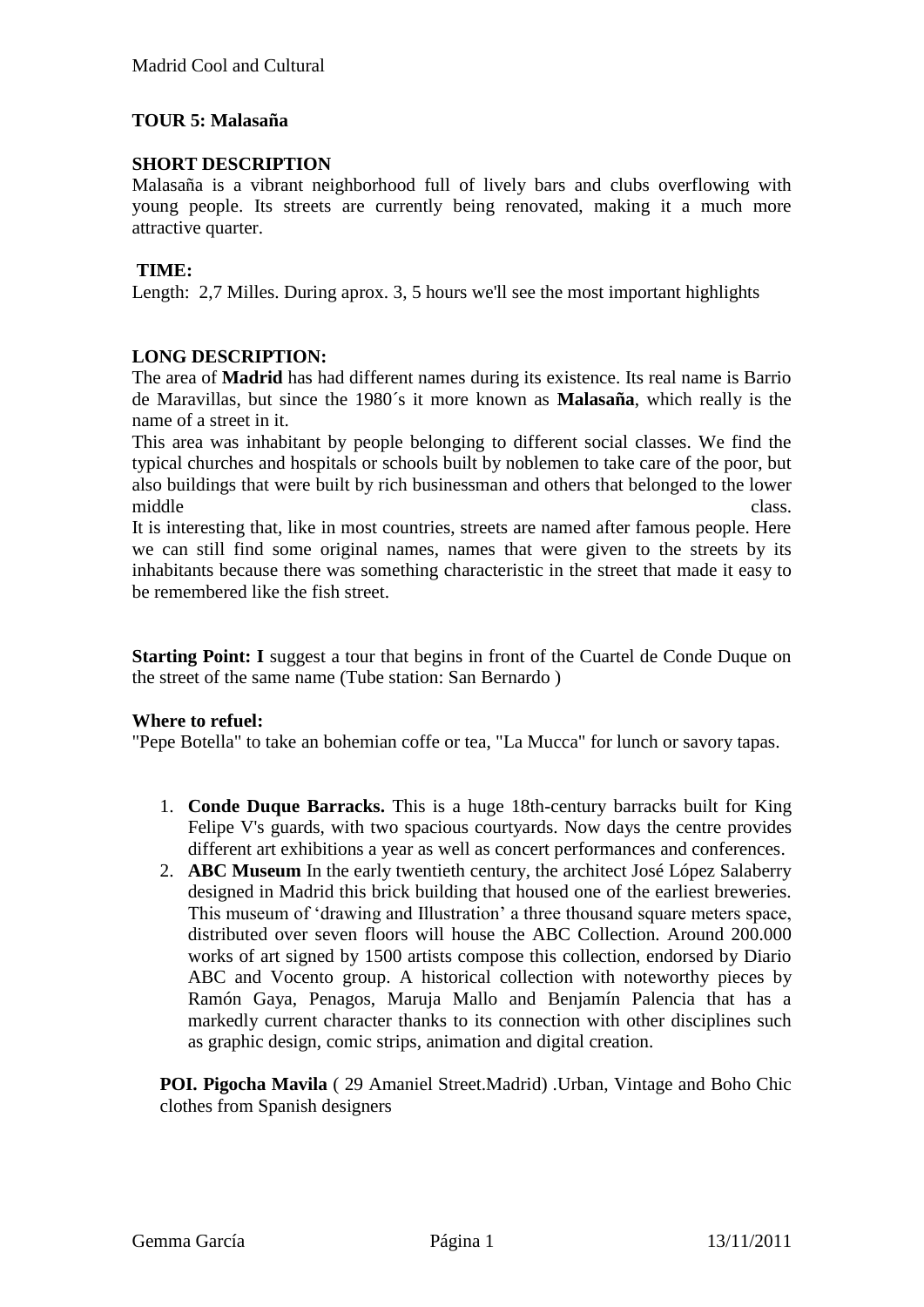# **TOUR 5: Malasaña**

## **SHORT DESCRIPTION**

Malasaña is a vibrant neighborhood full of lively bars and clubs overflowing with young people. Its streets are currently being renovated, making it a much more attractive quarter.

## **TIME:**

Length: 2,7 Milles. During aprox. 3, 5 hours we'll see the most important highlights

## **LONG DESCRIPTION:**

The area of **Madrid** has had different names during its existence. Its real name is Barrio de Maravillas, but since the 1980´s it more known as **Malasaña**, which really is the name of a street in it.

This area was inhabitant by people belonging to different social classes. We find the typical churches and hospitals or schools built by noblemen to take care of the poor, but also buildings that were built by rich businessman and others that belonged to the lower middle class.

It is interesting that, like in most countries, streets are named after famous people. Here we can still find some original names, names that were given to the streets by its inhabitants because there was something characteristic in the street that made it easy to be remembered like the fish street.

**Starting Point: I** suggest a tour that begins in front of the Cuartel de Conde Duque on the street of the same name (Tube station: San Bernardo )

#### **Where to refuel:**

"Pepe Botella" to take an bohemian coffe or tea, "La Mucca" for lunch or savory tapas.

- 1. **Conde Duque Barracks.** This is a huge 18th-century barracks built for King Felipe V's guards, with two spacious courtyards. Now days the centre provides different art exhibitions a year as well as concert performances and conferences.
- 2. **ABC Museum** In the early twentieth century, the architect José López Salaberry designed in Madrid this brick building that housed one of the earliest breweries. This museum of 'drawing and Illustration' a three thousand square meters space, distributed over seven floors will house the ABC Collection. Around 200.000 works of art signed by 1500 artists compose this collection, endorsed by Diario ABC and Vocento group. A historical collection with noteworthy pieces by Ramón Gaya, Penagos, Maruja Mallo and Benjamín Palencia that has a markedly current character thanks to its connection with other disciplines such as graphic design, comic strips, animation and digital creation.

**POI. Pigocha Mavila** ( 29 Amaniel Street.Madrid) .Urban, Vintage and Boho Chic clothes from Spanish designers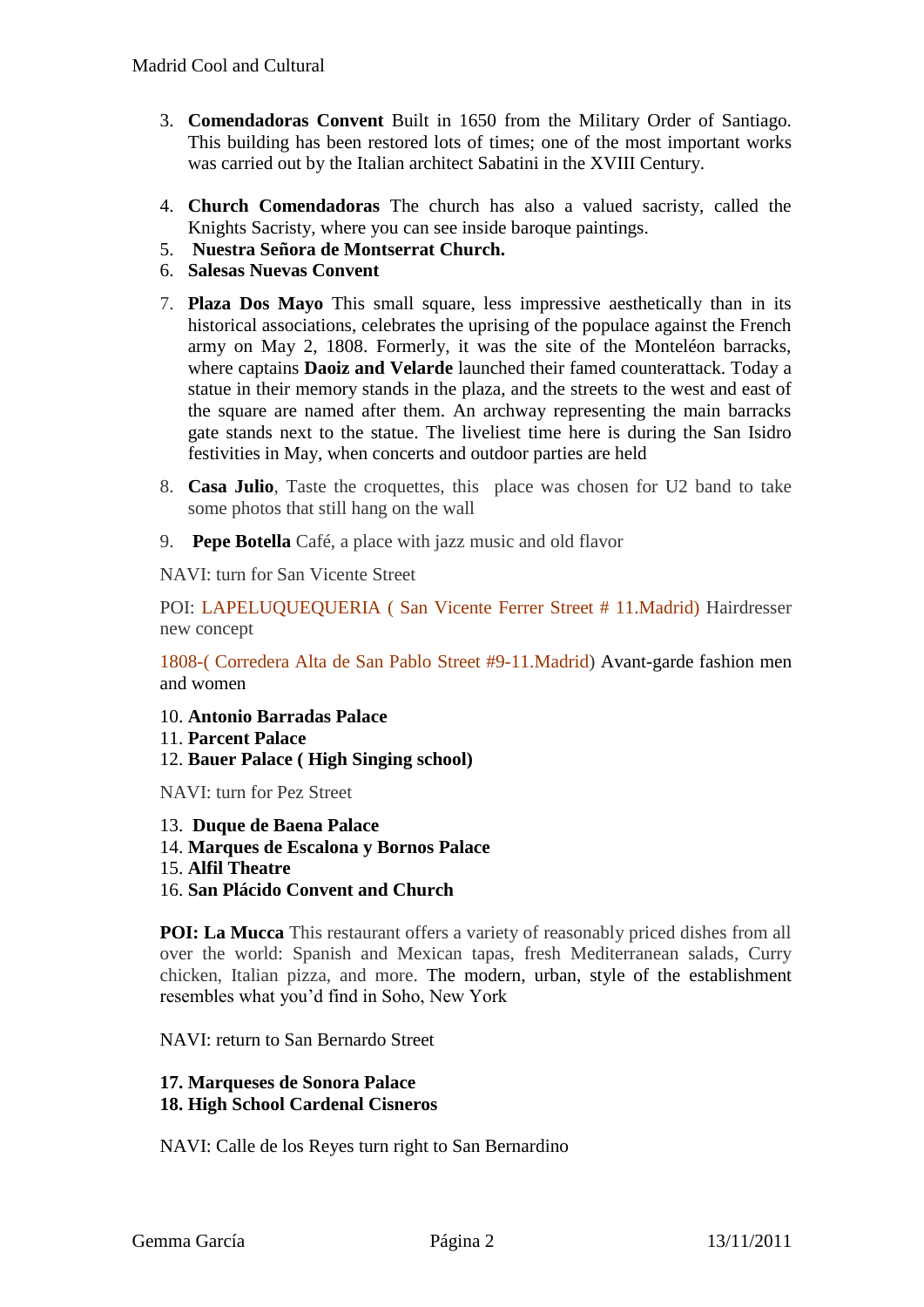- 3. **Comendadoras Convent** Built in 1650 from the Military Order of Santiago. This building has been restored lots of times; one of the most important works was carried out by the Italian architect Sabatini in the XVIII Century.
- 4. **Church Comendadoras** The church has also a valued sacristy, called the Knights Sacristy, where you can see inside baroque paintings.
- 5. **Nuestra Señora de Montserrat Church.**
- 6. **Salesas Nuevas Convent**
- 7. **Plaza Dos Mayo** This small square, less impressive aesthetically than in its historical associations, celebrates the uprising of the populace against the French army on May 2, 1808. Formerly, it was the site of the Monteléon barracks, where captains **Daoiz and Velarde** launched their famed counterattack. Today a statue in their memory stands in the plaza, and the streets to the west and east of the square are named after them. An archway representing the main barracks gate stands next to the statue. The liveliest time here is during the San Isidro festivities in May, when concerts and outdoor parties are held
- 8. **[Casa Julio](http://barcasajulio.com/)**, Taste the croquettes, this place was chosen for U2 band to take some photos that still hang on the wall
- 9. **[Pepe Botella](http://www.pepebotella.com/)** Café, a place with jazz music and old flavor

NAVI: turn for San Vicente Street

POI: LAPELUQUEQUERIA ( San Vicente Ferrer Street # 11.Madrid) Hairdresser new concept

1808-( Corredera Alta de San Pablo Street #9-11.Madrid) Avant-garde fashion men and women

- 10. **Antonio Barradas Palace**
- 11. **Parcent Palace**
- 12. **Bauer Palace ( High Singing school)**

NAVI: turn for Pez Street

- 13. **Duque de Baena Palace**
- 14. **Marques de Escalona y Bornos Palace**
- 15. **Alfil Theatre**
- 16. **San Plácido Convent and Church**

**POI: La Mucca** This restaurant offers a variety of reasonably priced dishes from all over the world: Spanish and Mexican tapas, fresh Mediterranean salads, Curry chicken, Italian pizza, and more. The modern, urban, style of the establishment resembles what you'd find in Soho, New York

NAVI: return to San Bernardo Street

#### **17. Marqueses de Sonora Palace 18. High School Cardenal Cisneros**

NAVI: Calle de los Reyes turn right to San Bernardino